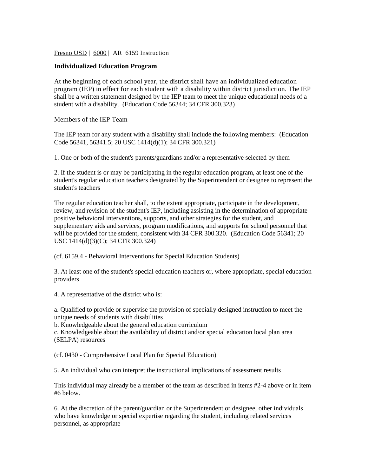Fresno USD | 6000 | AR 6159 Instruction

## **Individualized Education Program**

At the beginning of each school year, the district shall have an individualized education program (IEP) in effect for each student with a disability within district jurisdiction. The IEP shall be a written statement designed by the IEP team to meet the unique educational needs of a student with a disability. (Education Code 56344; 34 CFR 300.323)

Members of the IEP Team

The IEP team for any student with a disability shall include the following members: (Education Code 56341, 56341.5; 20 USC 1414(d)(1); 34 CFR 300.321)

1. One or both of the student's parents/guardians and/or a representative selected by them

2. If the student is or may be participating in the regular education program, at least one of the student's regular education teachers designated by the Superintendent or designee to represent the student's teachers

The regular education teacher shall, to the extent appropriate, participate in the development, review, and revision of the student's IEP, including assisting in the determination of appropriate positive behavioral interventions, supports, and other strategies for the student, and supplementary aids and services, program modifications, and supports for school personnel that will be provided for the student, consistent with 34 CFR 300.320. (Education Code 56341; 20 USC 1414(d)(3)(C); 34 CFR 300.324)

(cf. 6159.4 - Behavioral Interventions for Special Education Students)

3. At least one of the student's special education teachers or, where appropriate, special education providers

4. A representative of the district who is:

a. Qualified to provide or supervise the provision of specially designed instruction to meet the unique needs of students with disabilities

b. Knowledgeable about the general education curriculum

c. Knowledgeable about the availability of district and/or special education local plan area (SELPA) resources

(cf. 0430 - Comprehensive Local Plan for Special Education)

5. An individual who can interpret the instructional implications of assessment results

This individual may already be a member of the team as described in items #2-4 above or in item #6 below.

6. At the discretion of the parent/guardian or the Superintendent or designee, other individuals who have knowledge or special expertise regarding the student, including related services personnel, as appropriate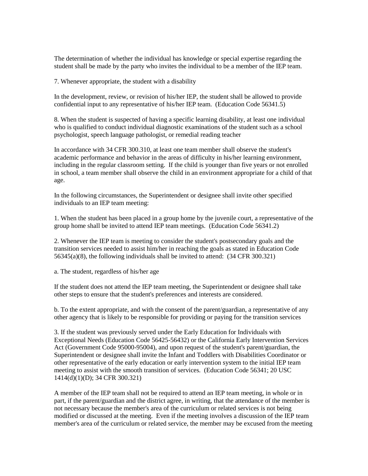The determination of whether the individual has knowledge or special expertise regarding the student shall be made by the party who invites the individual to be a member of the IEP team.

7. Whenever appropriate, the student with a disability

In the development, review, or revision of his/her IEP, the student shall be allowed to provide confidential input to any representative of his/her IEP team. (Education Code 56341.5)

8. When the student is suspected of having a specific learning disability, at least one individual who is qualified to conduct individual diagnostic examinations of the student such as a school psychologist, speech language pathologist, or remedial reading teacher

In accordance with 34 CFR 300.310, at least one team member shall observe the student's academic performance and behavior in the areas of difficulty in his/her learning environment, including in the regular classroom setting. If the child is younger than five years or not enrolled in school, a team member shall observe the child in an environment appropriate for a child of that age.

In the following circumstances, the Superintendent or designee shall invite other specified individuals to an IEP team meeting:

1. When the student has been placed in a group home by the juvenile court, a representative of the group home shall be invited to attend IEP team meetings. (Education Code 56341.2)

2. Whenever the IEP team is meeting to consider the student's postsecondary goals and the transition services needed to assist him/her in reaching the goals as stated in Education Code 56345(a)(8), the following individuals shall be invited to attend: (34 CFR 300.321)

a. The student, regardless of his/her age

If the student does not attend the IEP team meeting, the Superintendent or designee shall take other steps to ensure that the student's preferences and interests are considered.

b. To the extent appropriate, and with the consent of the parent/guardian, a representative of any other agency that is likely to be responsible for providing or paying for the transition services

3. If the student was previously served under the Early Education for Individuals with Exceptional Needs (Education Code 56425-56432) or the California Early Intervention Services Act (Government Code 95000-95004), and upon request of the student's parent/guardian, the Superintendent or designee shall invite the Infant and Toddlers with Disabilities Coordinator or other representative of the early education or early intervention system to the initial IEP team meeting to assist with the smooth transition of services. (Education Code 56341; 20 USC 1414(d)(1)(D); 34 CFR 300.321)

A member of the IEP team shall not be required to attend an IEP team meeting, in whole or in part, if the parent/guardian and the district agree, in writing, that the attendance of the member is not necessary because the member's area of the curriculum or related services is not being modified or discussed at the meeting. Even if the meeting involves a discussion of the IEP team member's area of the curriculum or related service, the member may be excused from the meeting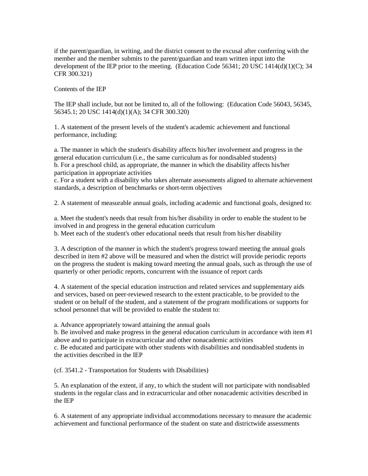if the parent/guardian, in writing, and the district consent to the excusal after conferring with the member and the member submits to the parent/guardian and team written input into the development of the IEP prior to the meeting. (Education Code 56341; 20 USC 1414(d)(1)(C); 34 CFR 300.321)

Contents of the IEP

The IEP shall include, but not be limited to, all of the following: (Education Code 56043, 56345, 56345.1; 20 USC 1414(d)(1)(A); 34 CFR 300.320)

1. A statement of the present levels of the student's academic achievement and functional performance, including:

a. The manner in which the student's disability affects his/her involvement and progress in the general education curriculum (i.e., the same curriculum as for nondisabled students) b. For a preschool child, as appropriate, the manner in which the disability affects his/her participation in appropriate activities

c. For a student with a disability who takes alternate assessments aligned to alternate achievement standards, a description of benchmarks or short-term objectives

2. A statement of measurable annual goals, including academic and functional goals, designed to:

a. Meet the student's needs that result from his/her disability in order to enable the student to be involved in and progress in the general education curriculum b. Meet each of the student's other educational needs that result from his/her disability

3. A description of the manner in which the student's progress toward meeting the annual goals described in item #2 above will be measured and when the district will provide periodic reports on the progress the student is making toward meeting the annual goals, such as through the use of quarterly or other periodic reports, concurrent with the issuance of report cards

4. A statement of the special education instruction and related services and supplementary aids and services, based on peer-reviewed research to the extent practicable, to be provided to the student or on behalf of the student, and a statement of the program modifications or supports for school personnel that will be provided to enable the student to:

a. Advance appropriately toward attaining the annual goals

b. Be involved and make progress in the general education curriculum in accordance with item #1 above and to participate in extracurricular and other nonacademic activities c. Be educated and participate with other students with disabilities and nondisabled students in the activities described in the IEP

(cf. 3541.2 - Transportation for Students with Disabilities)

5. An explanation of the extent, if any, to which the student will not participate with nondisabled students in the regular class and in extracurricular and other nonacademic activities described in the IEP

6. A statement of any appropriate individual accommodations necessary to measure the academic achievement and functional performance of the student on state and districtwide assessments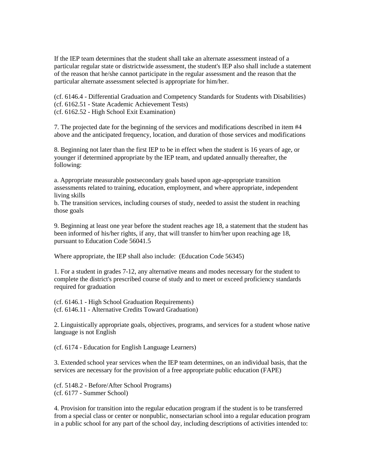If the IEP team determines that the student shall take an alternate assessment instead of a particular regular state or districtwide assessment, the student's IEP also shall include a statement of the reason that he/she cannot participate in the regular assessment and the reason that the particular alternate assessment selected is appropriate for him/her.

(cf. 6146.4 - Differential Graduation and Competency Standards for Students with Disabilities) (cf. 6162.51 - State Academic Achievement Tests) (cf. 6162.52 - High School Exit Examination)

7. The projected date for the beginning of the services and modifications described in item #4 above and the anticipated frequency, location, and duration of those services and modifications

8. Beginning not later than the first IEP to be in effect when the student is 16 years of age, or younger if determined appropriate by the IEP team, and updated annually thereafter, the following:

a. Appropriate measurable postsecondary goals based upon age-appropriate transition assessments related to training, education, employment, and where appropriate, independent living skills

b. The transition services, including courses of study, needed to assist the student in reaching those goals

9. Beginning at least one year before the student reaches age 18, a statement that the student has been informed of his/her rights, if any, that will transfer to him/her upon reaching age 18, pursuant to Education Code 56041.5

Where appropriate, the IEP shall also include: (Education Code 56345)

1. For a student in grades 7-12, any alternative means and modes necessary for the student to complete the district's prescribed course of study and to meet or exceed proficiency standards required for graduation

(cf. 6146.1 - High School Graduation Requirements) (cf. 6146.11 - Alternative Credits Toward Graduation)

2. Linguistically appropriate goals, objectives, programs, and services for a student whose native language is not English

(cf. 6174 - Education for English Language Learners)

3. Extended school year services when the IEP team determines, on an individual basis, that the services are necessary for the provision of a free appropriate public education (FAPE)

(cf. 5148.2 - Before/After School Programs) (cf. 6177 - Summer School)

4. Provision for transition into the regular education program if the student is to be transferred from a special class or center or nonpublic, nonsectarian school into a regular education program in a public school for any part of the school day, including descriptions of activities intended to: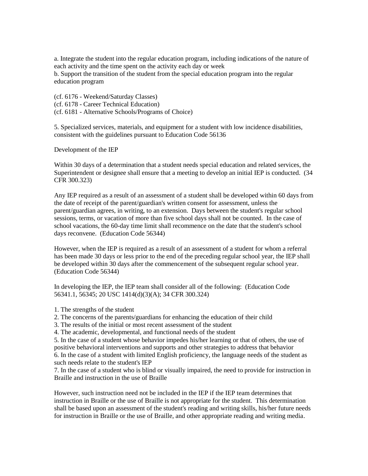a. Integrate the student into the regular education program, including indications of the nature of each activity and the time spent on the activity each day or week

b. Support the transition of the student from the special education program into the regular education program

(cf. 6176 - Weekend/Saturday Classes) (cf. 6178 - Career Technical Education) (cf. 6181 - Alternative Schools/Programs of Choice)

5. Specialized services, materials, and equipment for a student with low incidence disabilities, consistent with the guidelines pursuant to Education Code 56136

Development of the IEP

Within 30 days of a determination that a student needs special education and related services, the Superintendent or designee shall ensure that a meeting to develop an initial IEP is conducted. (34) CFR 300.323)

Any IEP required as a result of an assessment of a student shall be developed within 60 days from the date of receipt of the parent/guardian's written consent for assessment, unless the parent/guardian agrees, in writing, to an extension. Days between the student's regular school sessions, terms, or vacation of more than five school days shall not be counted. In the case of school vacations, the 60-day time limit shall recommence on the date that the student's school days reconvene. (Education Code 56344)

However, when the IEP is required as a result of an assessment of a student for whom a referral has been made 30 days or less prior to the end of the preceding regular school year, the IEP shall be developed within 30 days after the commencement of the subsequent regular school year. (Education Code 56344)

In developing the IEP, the IEP team shall consider all of the following: (Education Code 56341.1, 56345; 20 USC 1414(d)(3)(A); 34 CFR 300.324)

- 1. The strengths of the student
- 2. The concerns of the parents/guardians for enhancing the education of their child
- 3. The results of the initial or most recent assessment of the student
- 4. The academic, developmental, and functional needs of the student

5. In the case of a student whose behavior impedes his/her learning or that of others, the use of positive behavioral interventions and supports and other strategies to address that behavior 6. In the case of a student with limited English proficiency, the language needs of the student as such needs relate to the student's IEP

7. In the case of a student who is blind or visually impaired, the need to provide for instruction in Braille and instruction in the use of Braille

However, such instruction need not be included in the IEP if the IEP team determines that instruction in Braille or the use of Braille is not appropriate for the student. This determination shall be based upon an assessment of the student's reading and writing skills, his/her future needs for instruction in Braille or the use of Braille, and other appropriate reading and writing media.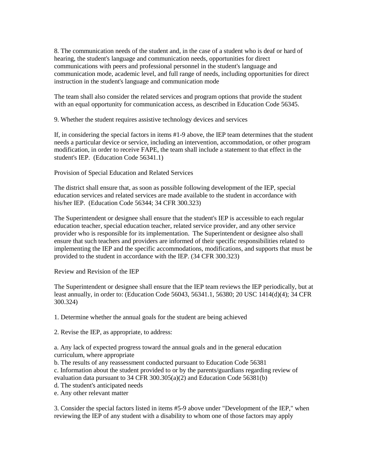8. The communication needs of the student and, in the case of a student who is deaf or hard of hearing, the student's language and communication needs, opportunities for direct communications with peers and professional personnel in the student's language and communication mode, academic level, and full range of needs, including opportunities for direct instruction in the student's language and communication mode

The team shall also consider the related services and program options that provide the student with an equal opportunity for communication access, as described in Education Code 56345.

9. Whether the student requires assistive technology devices and services

If, in considering the special factors in items #1-9 above, the IEP team determines that the student needs a particular device or service, including an intervention, accommodation, or other program modification, in order to receive FAPE, the team shall include a statement to that effect in the student's IEP. (Education Code 56341.1)

Provision of Special Education and Related Services

The district shall ensure that, as soon as possible following development of the IEP, special education services and related services are made available to the student in accordance with his/her IEP. (Education Code 56344; 34 CFR 300.323)

The Superintendent or designee shall ensure that the student's IEP is accessible to each regular education teacher, special education teacher, related service provider, and any other service provider who is responsible for its implementation. The Superintendent or designee also shall ensure that such teachers and providers are informed of their specific responsibilities related to implementing the IEP and the specific accommodations, modifications, and supports that must be provided to the student in accordance with the IEP. (34 CFR 300.323)

Review and Revision of the IEP

The Superintendent or designee shall ensure that the IEP team reviews the IEP periodically, but at least annually, in order to: (Education Code 56043, 56341.1, 56380; 20 USC 1414(d)(4); 34 CFR 300.324)

1. Determine whether the annual goals for the student are being achieved

2. Revise the IEP, as appropriate, to address:

a. Any lack of expected progress toward the annual goals and in the general education curriculum, where appropriate

b. The results of any reassessment conducted pursuant to Education Code 56381

c. Information about the student provided to or by the parents/guardians regarding review of

evaluation data pursuant to 34 CFR 300.305(a)(2) and Education Code 56381(b)

- d. The student's anticipated needs
- e. Any other relevant matter

3. Consider the special factors listed in items #5-9 above under "Development of the IEP," when reviewing the IEP of any student with a disability to whom one of those factors may apply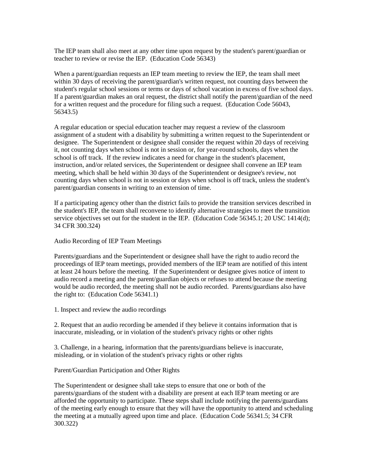The IEP team shall also meet at any other time upon request by the student's parent/guardian or teacher to review or revise the IEP. (Education Code 56343)

When a parent/guardian requests an IEP team meeting to review the IEP, the team shall meet within 30 days of receiving the parent/guardian's written request, not counting days between the student's regular school sessions or terms or days of school vacation in excess of five school days. If a parent/guardian makes an oral request, the district shall notify the parent/guardian of the need for a written request and the procedure for filing such a request. (Education Code 56043, 56343.5)

A regular education or special education teacher may request a review of the classroom assignment of a student with a disability by submitting a written request to the Superintendent or designee. The Superintendent or designee shall consider the request within 20 days of receiving it, not counting days when school is not in session or, for year-round schools, days when the school is off track. If the review indicates a need for change in the student's placement, instruction, and/or related services, the Superintendent or designee shall convene an IEP team meeting, which shall be held within 30 days of the Superintendent or designee's review, not counting days when school is not in session or days when school is off track, unless the student's parent/guardian consents in writing to an extension of time.

If a participating agency other than the district fails to provide the transition services described in the student's IEP, the team shall reconvene to identify alternative strategies to meet the transition service objectives set out for the student in the IEP. (Education Code 56345.1; 20 USC 1414(d); 34 CFR 300.324)

## Audio Recording of IEP Team Meetings

Parents/guardians and the Superintendent or designee shall have the right to audio record the proceedings of IEP team meetings, provided members of the IEP team are notified of this intent at least 24 hours before the meeting. If the Superintendent or designee gives notice of intent to audio record a meeting and the parent/guardian objects or refuses to attend because the meeting would be audio recorded, the meeting shall not be audio recorded. Parents/guardians also have the right to: (Education Code 56341.1)

1. Inspect and review the audio recordings

2. Request that an audio recording be amended if they believe it contains information that is inaccurate, misleading, or in violation of the student's privacy rights or other rights

3. Challenge, in a hearing, information that the parents/guardians believe is inaccurate, misleading, or in violation of the student's privacy rights or other rights

## Parent/Guardian Participation and Other Rights

The Superintendent or designee shall take steps to ensure that one or both of the parents/guardians of the student with a disability are present at each IEP team meeting or are afforded the opportunity to participate. These steps shall include notifying the parents/guardians of the meeting early enough to ensure that they will have the opportunity to attend and scheduling the meeting at a mutually agreed upon time and place. (Education Code 56341.5; 34 CFR 300.322)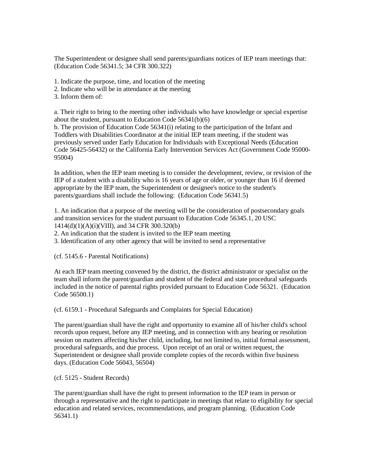The Superintendent or designee shall send parents/guardians notices of IEP team meetings that: (Education Code 56341.5; 34 CFR 300.322)

1. Indicate the purpose, time, and location of the meeting

2. Indicate who will be in attendance at the meeting

3. Inform them of:

a. Their right to bring to the meeting other individuals who have knowledge or special expertise about the student, pursuant to Education Code 56341(b)(6)

b. The provision of Education Code 56341(i) relating to the participation of the Infant and Toddlers with Disabilities Coordinator at the initial IEP team meeting, if the student was previously served under Early Education for Individuals with Exceptional Needs (Education Code 56425-56432) or the California Early Intervention Services Act (Government Code 95000- 95004)

In addition, when the IEP team meeting is to consider the development, review, or revision of the IEP of a student with a disability who is 16 years of age or older, or younger than 16 if deemed appropriate by the IEP team, the Superintendent or designee's notice to the student's parents/guardians shall include the following: (Education Code 56341.5)

1. An indication that a purpose of the meeting will be the consideration of postsecondary goals and transition services for the student pursuant to Education Code 56345.1, 20 USC 1414(d)(1)(A)(i)(VIII), and 34 CFR 300.320(b)

2. An indication that the student is invited to the IEP team meeting

3. Identification of any other agency that will be invited to send a representative

(cf. 5145.6 - Parental Notifications)

At each IEP team meeting convened by the district, the district administrator or specialist on the team shall inform the parent/guardian and student of the federal and state procedural safeguards included in the notice of parental rights provided pursuant to Education Code 56321. (Education Code 56500.1)

(cf. 6159.1 - Procedural Safeguards and Complaints for Special Education)

The parent/guardian shall have the right and opportunity to examine all of his/her child's school records upon request, before any IEP meeting, and in connection with any hearing or resolution session on matters affecting his/her child, including, but not limited to, initial formal assessment, procedural safeguards, and due process. Upon receipt of an oral or written request, the Superintendent or designee shall provide complete copies of the records within five business days. (Education Code 56043, 56504)

(cf. 5125 - Student Records)

The parent/guardian shall have the right to present information to the IEP team in person or through a representative and the right to participate in meetings that relate to eligibility for special education and related services, recommendations, and program planning. (Education Code 56341.1)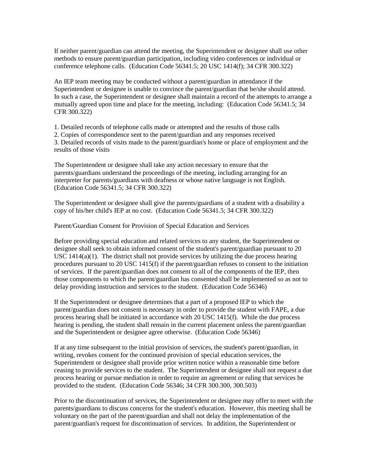If neither parent/guardian can attend the meeting, the Superintendent or designee shall use other methods to ensure parent/guardian participation, including video conferences or individual or conference telephone calls. (Education Code 56341.5; 20 USC 1414(f); 34 CFR 300.322)

An IEP team meeting may be conducted without a parent/guardian in attendance if the Superintendent or designee is unable to convince the parent/guardian that he/she should attend. In such a case, the Superintendent or designee shall maintain a record of the attempts to arrange a mutually agreed upon time and place for the meeting, including: (Education Code 56341.5; 34 CFR 300.322)

1. Detailed records of telephone calls made or attempted and the results of those calls

2. Copies of correspondence sent to the parent/guardian and any responses received

3. Detailed records of visits made to the parent/guardian's home or place of employment and the results of those visits

The Superintendent or designee shall take any action necessary to ensure that the parents/guardians understand the proceedings of the meeting, including arranging for an interpreter for parents/guardians with deafness or whose native language is not English. (Education Code 56341.5; 34 CFR 300.322)

The Superintendent or designee shall give the parents/guardians of a student with a disability a copy of his/her child's IEP at no cost. (Education Code 56341.5; 34 CFR 300.322)

Parent/Guardian Consent for Provision of Special Education and Services

Before providing special education and related services to any student, the Superintendent or designee shall seek to obtain informed consent of the student's parent/guardian pursuant to 20 USC  $1414(a)(1)$ . The district shall not provide services by utilizing the due process hearing procedures pursuant to 20 USC 1415(f) if the parent/guardian refuses to consent to the initiation of services. If the parent/guardian does not consent to all of the components of the IEP, then those components to which the parent/guardian has consented shall be implemented so as not to delay providing instruction and services to the student. (Education Code 56346)

If the Superintendent or designee determines that a part of a proposed IEP to which the parent/guardian does not consent is necessary in order to provide the student with FAPE, a due process hearing shall be initiated in accordance with 20 USC 1415(f). While the due process hearing is pending, the student shall remain in the current placement unless the parent/guardian and the Superintendent or designee agree otherwise. (Education Code 56346)

If at any time subsequent to the initial provision of services, the student's parent/guardian, in writing, revokes consent for the continued provision of special education services, the Superintendent or designee shall provide prior written notice within a reasonable time before ceasing to provide services to the student. The Superintendent or designee shall not request a due process hearing or pursue mediation in order to require an agreement or ruling that services be provided to the student. (Education Code 56346; 34 CFR 300.300, 300.503)

Prior to the discontinuation of services, the Superintendent or designee may offer to meet with the parents/guardians to discuss concerns for the student's education. However, this meeting shall be voluntary on the part of the parent/guardian and shall not delay the implementation of the parent/guardian's request for discontinuation of services. In addition, the Superintendent or